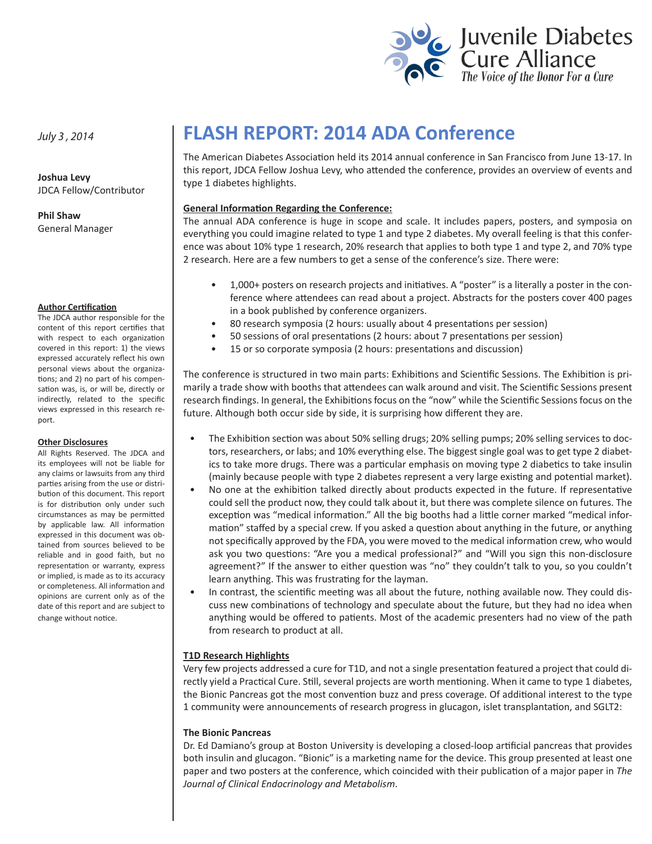

**Joshua Levy** JDCA Fellow/Contributor

**Phil Shaw** General Manager

#### **Author Certification**

The JDCA author responsible for the content of this report certifies that with respect to each organization covered in this report: 1) the views expressed accurately reflect his own personal views about the organizations; and 2) no part of his compensation was, is, or will be, directly or indirectly, related to the specific views expressed in this research report.

#### **Other Disclosures**

All Rights Reserved. The JDCA and its employees will not be liable for any claims or lawsuits from any third parties arising from the use or distribution of this document. This report is for distribution only under such circumstances as may be permitted by applicable law. All information expressed in this document was obtained from sources believed to be reliable and in good faith, but no representation or warranty, express or implied, is made as to its accuracy or completeness. All information and opinions are current only as of the date of this report and are subject to change without notice.

# *July 3 , 2014* **FLASH REPORT: 2014 ADA Conference**

The American Diabetes Association held its 2014 annual conference in San Francisco from June 13-17. In this report, JDCA Fellow Joshua Levy, who attended the conference, provides an overview of events and type 1 diabetes highlights.

# **General Information Regarding the Conference:**

The annual ADA conference is huge in scope and scale. It includes papers, posters, and symposia on everything you could imagine related to type 1 and type 2 diabetes. My overall feeling is that this conference was about 10% type 1 research, 20% research that applies to both type 1 and type 2, and 70% type 2 research. Here are a few numbers to get a sense of the conference's size. There were:

- 1,000+ posters on research projects and initiatives. A "poster" is a literally a poster in the conference where attendees can read about a project. Abstracts for the posters cover 400 pages in a book published by conference organizers.
- 80 research symposia (2 hours: usually about 4 presentations per session)
- 50 sessions of oral presentations (2 hours: about 7 presentations per session)
- 15 or so corporate symposia (2 hours: presentations and discussion)

The conference is structured in two main parts: Exhibitions and Scientific Sessions. The Exhibition is primarily a trade show with booths that attendees can walk around and visit. The Scientific Sessions present research findings. In general, the Exhibitions focus on the "now" while the Scientific Sessions focus on the future. Although both occur side by side, it is surprising how different they are.

- The Exhibition section was about 50% selling drugs; 20% selling pumps; 20% selling services to doctors, researchers, or labs; and 10% everything else. The biggest single goal was to get type 2 diabetics to take more drugs. There was a particular emphasis on moving type 2 diabetics to take insulin (mainly because people with type 2 diabetes represent a very large existing and potential market).
- No one at the exhibition talked directly about products expected in the future. If representative could sell the product now, they could talk about it, but there was complete silence on futures. The exception was "medical information." All the big booths had a little corner marked "medical information" staffed by a special crew. If you asked a question about anything in the future, or anything not specifically approved by the FDA, you were moved to the medical information crew, who would ask you two questions: "Are you a medical professional?" and "Will you sign this non-disclosure agreement?" If the answer to either question was "no" they couldn't talk to you, so you couldn't learn anything. This was frustrating for the layman.
- In contrast, the scientific meeting was all about the future, nothing available now. They could discuss new combinations of technology and speculate about the future, but they had no idea when anything would be offered to patients. Most of the academic presenters had no view of the path from research to product at all.

# **T1D Research Highlights**

Very few projects addressed a cure for T1D, and not a single presentation featured a project that could directly yield a Practical Cure. Still, several projects are worth mentioning. When it came to type 1 diabetes, the Bionic Pancreas got the most convention buzz and press coverage. Of additional interest to the type 1 community were announcements of research progress in glucagon, islet transplantation, and SGLT2:

# **The Bionic Pancreas**

Dr. Ed Damiano's group at Boston University is developing a closed-loop artificial pancreas that provides both insulin and glucagon. "Bionic" is a marketing name for the device. This group presented at least one paper and two posters at the conference, which coincided with their publication of a major paper in *The Journal of Clinical Endocrinology and Metabolism*.